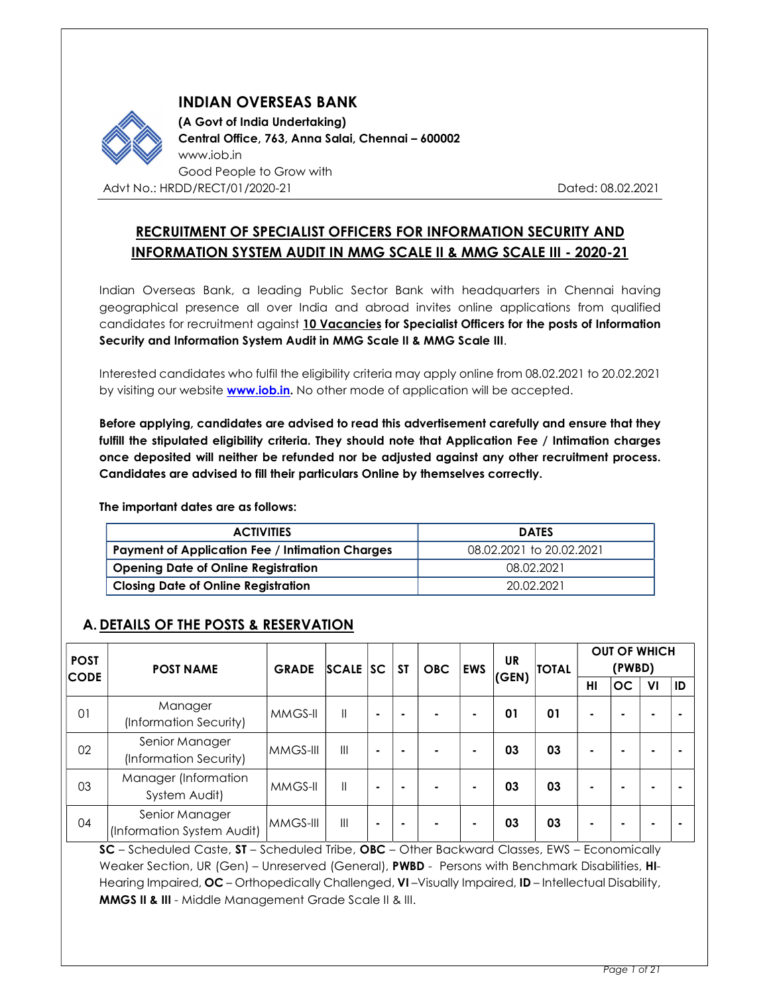

INDIAN OVERSEAS BANK

 (A Govt of India Undertaking) Central Office, 763, Anna Salai, Chennai – 600002 www.iob.in Good People to Grow with Advt No.: HRDD/RECT/01/2020-21 Dated: 08.02.2021

# RECRUITMENT OF SPECIALIST OFFICERS FOR INFORMATION SECURITY AND INFORMATION SYSTEM AUDIT IN MMG SCALE II & MMG SCALE III - 2020-21

Indian Overseas Bank, a leading Public Sector Bank with headquarters in Chennai having geographical presence all over India and abroad invites online applications from qualified candidates for recruitment against 10 Vacancies for Specialist Officers for the posts of Information Security and Information System Audit in MMG Scale II & MMG Scale III.

Interested candidates who fulfil the eligibility criteria may apply online from 08.02.2021 to 20.02.2021 by visiting our website **www.iob.in.** No other mode of application will be accepted.

Before applying, candidates are advised to read this advertisement carefully and ensure that they fulfill the stipulated eligibility criteria. They should note that Application Fee / Intimation charges once deposited will neither be refunded nor be adjusted against any other recruitment process. Candidates are advised to fill their particulars Online by themselves correctly.

The important dates are as follows:

| <b>ACTIVITIES</b>                                      | <b>DATES</b>             |
|--------------------------------------------------------|--------------------------|
| <b>Payment of Application Fee / Intimation Charges</b> | 08.02.2021 to 20.02.2021 |
| <b>Opening Date of Online Registration</b>             | 08.02.2021               |
| <b>Closing Date of Online Registration</b>             | 20.02.2021               |

# A. DETAILS OF THE POSTS & RESERVATION

| <b>POST</b><br><b>CODE</b> | <b>POST NAME</b>                             | <b>GRADE</b> | SCALE SC       |        | <b>ST</b> | <b>OBC</b>               | <b>EWS</b>               | UR<br>(GEN) | <b>TOTAL</b> | <b>OUT OF WHICH</b><br>(PWBD) |          |     |    |
|----------------------------|----------------------------------------------|--------------|----------------|--------|-----------|--------------------------|--------------------------|-------------|--------------|-------------------------------|----------|-----|----|
|                            |                                              |              |                |        |           |                          |                          |             |              |                               | HI       | OC. | VI |
| 01                         | Manager<br>(Information Security)            | MMGS-II      | $\mathbf{II}$  | $\sim$ |           |                          |                          | 01          | 01           |                               |          |     |    |
| 02                         | Senior Manager<br>(Information Security)     | MMGS-III     | $\mathbf{III}$ | $\sim$ |           | $\overline{\phantom{0}}$ | $\overline{\phantom{0}}$ | 03          | 03           |                               | . .      |     |    |
| 03                         | Manager (Information<br>System Audit)        | MMGS-II      | $\mathbf{I}$   | $\sim$ |           | $\overline{\phantom{0}}$ |                          | 03          | 03           |                               | <b>1</b> |     |    |
| 04                         | Senior Manager<br>(Information System Audit) | MMGS-III     | $\mathbf{III}$ | $\sim$ |           |                          |                          | 03          | 03           |                               | . .      |     |    |

SC – Scheduled Caste, ST – Scheduled Tribe, OBC – Other Backward Classes, EWS – Economically Weaker Section, UR (Gen) – Unreserved (General), PWBD - Persons with Benchmark Disabilities, HI-<br>Hearing Impaired, OC – Orthopedically Challenged, VI – Visually Impaired, ID – Intellectual Disability, MMGS II & III - Middle Management Grade Scale II & III.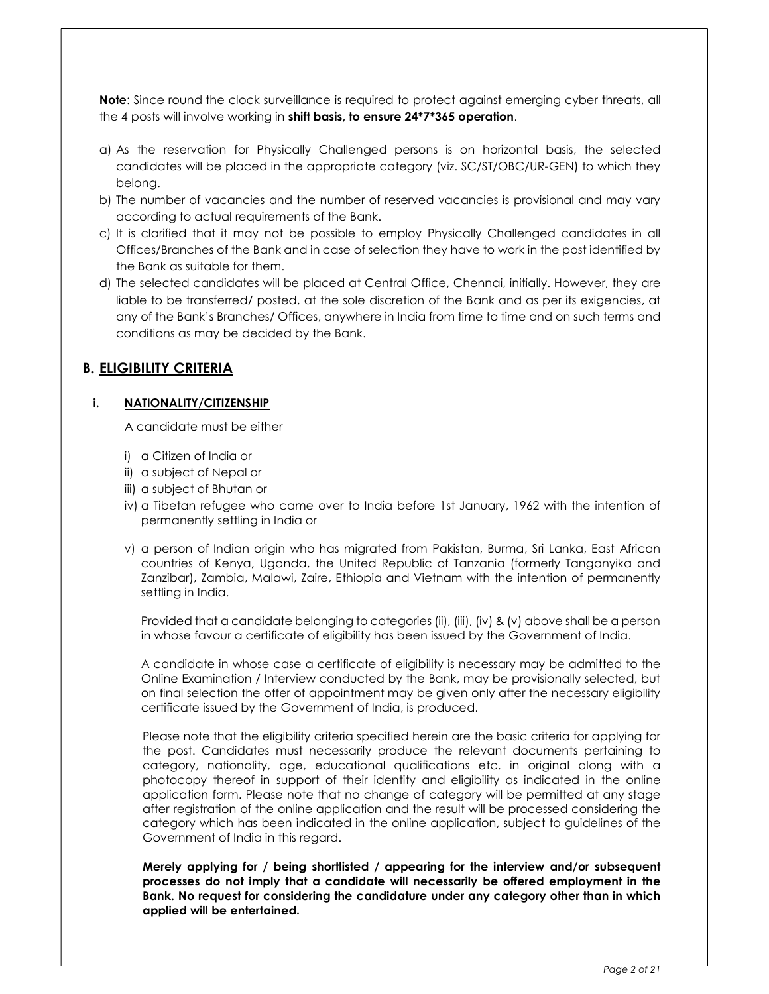**Note:** Since round the clock surveillance is required to protect against emerging cyber threats, all the 4 posts will involve working in shift basis, to ensure 24\*7\*365 operation.

- a) As the reservation for Physically Challenged persons is on horizontal basis, the selected candidates will be placed in the appropriate category (viz. SC/ST/OBC/UR-GEN) to which they belong.
- b) The number of vacancies and the number of reserved vacancies is provisional and may vary according to actual requirements of the Bank.
- c) It is clarified that it may not be possible to employ Physically Challenged candidates in all Offices/Branches of the Bank and in case of selection they have to work in the post identified by the Bank as suitable for them.
- d) The selected candidates will be placed at Central Office, Chennai, initially. However, they are liable to be transferred/ posted, at the sole discretion of the Bank and as per its exigencies, at any of the Bank's Branches/ Offices, anywhere in India from time to time and on such terms and conditions as may be decided by the Bank.

## B. ELIGIBILITY CRITERIA

## i. NATIONALITY/CITIZENSHIP

A candidate must be either

- i) a Citizen of India or
- ii) a subject of Nepal or
- iii) a subject of Bhutan or
- iv) a Tibetan refugee who came over to India before 1st January, 1962 with the intention of permanently settling in India or
- v) a person of Indian origin who has migrated from Pakistan, Burma, Sri Lanka, East African countries of Kenya, Uganda, the United Republic of Tanzania (formerly Tanganyika and Zanzibar), Zambia, Malawi, Zaire, Ethiopia and Vietnam with the intention of permanently settling in India.

Provided that a candidate belonging to categories (ii), (iii), (iv) & (v) above shall be a person in whose favour a certificate of eligibility has been issued by the Government of India.

A candidate in whose case a certificate of eligibility is necessary may be admitted to the Online Examination / Interview conducted by the Bank, may be provisionally selected, but on final selection the offer of appointment may be given only after the necessary eligibility certificate issued by the Government of India, is produced.

Please note that the eligibility criteria specified herein are the basic criteria for applying for the post. Candidates must necessarily produce the relevant documents pertaining to category, nationality, age, educational qualifications etc. in original along with a photocopy thereof in support of their identity and eligibility as indicated in the online application form. Please note that no change of category will be permitted at any stage after registration of the online application and the result will be processed considering the category which has been indicated in the online application, subject to guidelines of the Government of India in this regard.

Merely applying for / being shortlisted / appearing for the interview and/or subsequent processes do not imply that a candidate will necessarily be offered employment in the Bank. No request for considering the candidature under any category other than in which applied will be entertained.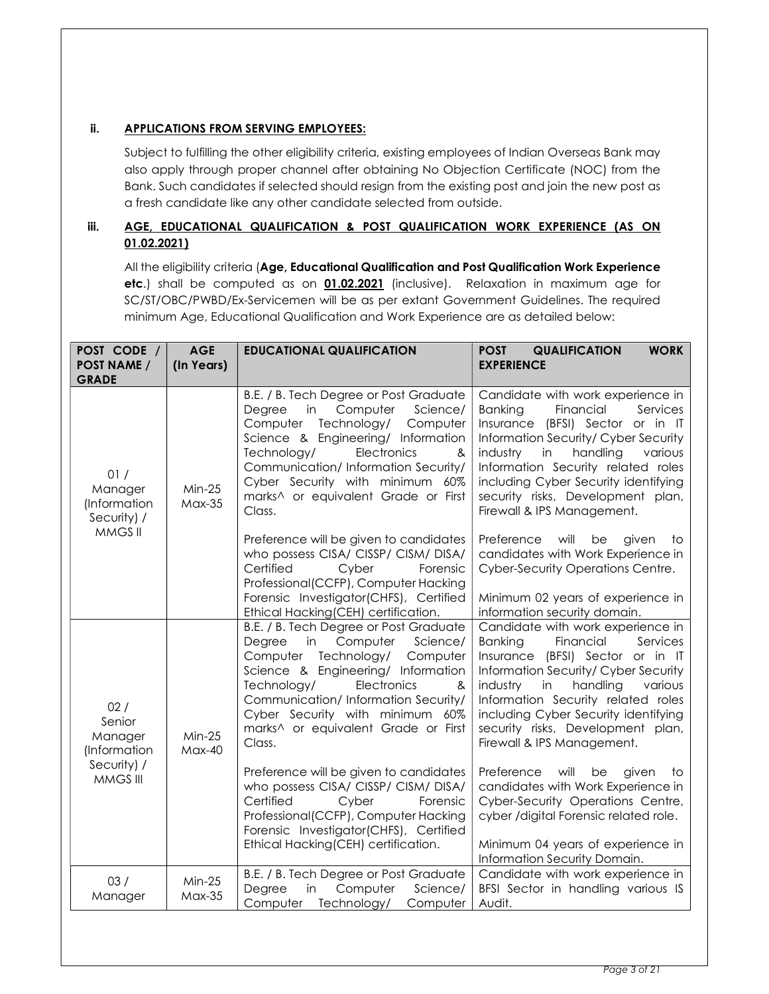## ii. APPLICATIONS FROM SERVING EMPLOYEES:

Subject to fulfilling the other eligibility criteria, existing employees of Indian Overseas Bank may also apply through proper channel after obtaining No Objection Certificate (NOC) from the Bank. Such candidates if selected should resign from the existing post and join the new post as a fresh candidate like any other candidate selected from outside.

## iii. AGE, EDUCATIONAL QUALIFICATION & POST QUALIFICATION WORK EXPERIENCE (AS ON 01.02.2021)

All the eligibility criteria (Age, Educational Qualification and Post Qualification Work Experience etc.) shall be computed as on 01.02.2021 (inclusive). Relaxation in maximum age for SC/ST/OBC/PWBD/Ex-Servicemen will be as per extant Government Guidelines. The required minimum Age, Educational Qualification and Work Experience are as detailed below:

| POST CODE /<br><b>POST NAME /</b><br><b>GRADE</b> | <b>AGE</b><br>(In Years)  | <b>EDUCATIONAL QUALIFICATION</b>                                                                                                                                                                                                                                                                                           | <b>POST</b><br><b>QUALIFICATION</b><br><b>WORK</b><br><b>EXPERIENCE</b>                                                                                                                                                                                                                                                                            |
|---------------------------------------------------|---------------------------|----------------------------------------------------------------------------------------------------------------------------------------------------------------------------------------------------------------------------------------------------------------------------------------------------------------------------|----------------------------------------------------------------------------------------------------------------------------------------------------------------------------------------------------------------------------------------------------------------------------------------------------------------------------------------------------|
| 01/<br>Manager<br>(Information<br>Security) /     | $Min-25$<br><b>Max-35</b> | B.E. / B. Tech Degree or Post Graduate<br>Computer<br>Science/<br>Degree<br>in<br>Technology/<br>Computer<br>Computer<br>Science & Engineering/ Information<br>Technology/<br>Electronics<br>&<br>Communication/ Information Security/<br>Cyber Security with minimum 60%<br>marks^ or equivalent Grade or First<br>Class. | Candidate with work experience in<br><b>Banking</b><br>Financial<br>Services<br>Insurance (BFSI) Sector or in IT<br>Information Security/ Cyber Security<br>handling<br>industry<br>in<br>various<br>Information Security related roles<br>including Cyber Security identifying<br>security risks, Development plan,<br>Firewall & IPS Management. |
| MMGS II                                           |                           | Preference will be given to candidates<br>who possess CISA/ CISSP/ CISM/ DISA/<br>Certified<br>Cyber<br>Forensic<br>Professional(CCFP), Computer Hacking<br>Forensic Investigator(CHFS), Certified<br>Ethical Hacking(CEH) certification.                                                                                  | Preference<br>will<br>be<br>given<br>to<br>candidates with Work Experience in<br>Cyber-Security Operations Centre.<br>Minimum 02 years of experience in<br>information security domain.                                                                                                                                                            |
| 02/<br>Senior<br>Manager<br>(Information          | $Min-25$<br><b>Max-40</b> | B.E. / B. Tech Degree or Post Graduate<br>Computer<br>Science/<br>Degree<br>in<br>Technology/<br>Computer<br>Computer<br>Science & Engineering/ Information<br>Technology/<br>Electronics<br>&<br>Communication/ Information Security/<br>Cyber Security with minimum 60%<br>marks^ or equivalent Grade or First<br>Class. | Candidate with work experience in<br>Banking<br>Financial<br>Services<br>Insurance (BFSI) Sector or in IT<br>Information Security/ Cyber Security<br>industry<br>handling<br>various<br>in<br>Information Security related roles<br>including Cyber Security identifying<br>security risks, Development plan,<br>Firewall & IPS Management.        |
| Security) /<br>MMGS III                           |                           | Preference will be given to candidates<br>who possess CISA/ CISSP/ CISM/ DISA/<br>Certified<br>Cyber<br>Forensic<br>Professional(CCFP), Computer Hacking<br>Forensic Investigator(CHFS), Certified<br>Ethical Hacking(CEH) certification.                                                                                  | will<br>Preference<br>be<br>given<br>to<br>candidates with Work Experience in<br>Cyber-Security Operations Centre,<br>cyber /digital Forensic related role.<br>Minimum 04 years of experience in<br>Information Security Domain.                                                                                                                   |
| 03/<br>Manager                                    | $Min-25$<br><b>Max-35</b> | B.E. / B. Tech Degree or Post Graduate<br>Degree<br>in<br>Computer<br>Science/<br>Computer Technology/<br>Computer                                                                                                                                                                                                         | Candidate with work experience in<br>BFSI Sector in handling various IS<br>Audit.                                                                                                                                                                                                                                                                  |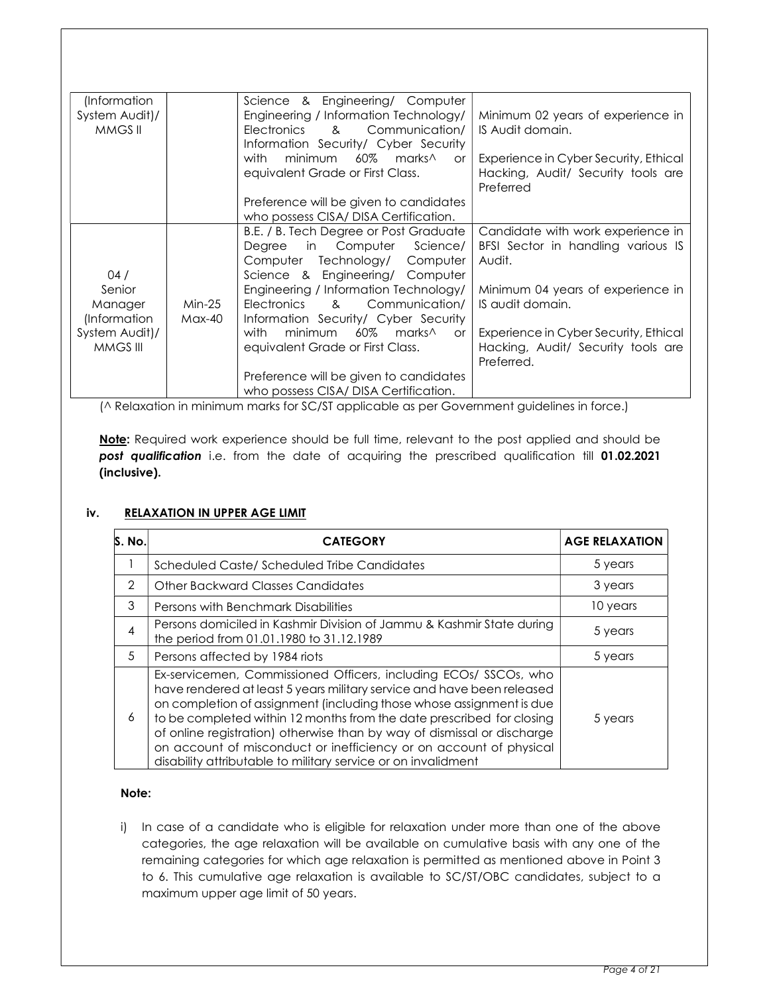| (Information<br>System Audit)/<br>MMGS II |                      | Science & Engineering/ Computer<br>Engineering / Information Technology/<br>Communication/<br>Electronics<br>$\mathcal{R}$<br>Information Security/ Cyber Security | Minimum 02 years of experience in<br>IS Audit domain.                                     |
|-------------------------------------------|----------------------|--------------------------------------------------------------------------------------------------------------------------------------------------------------------|-------------------------------------------------------------------------------------------|
|                                           |                      | minimum<br>60%<br>marks∧<br>with<br>or<br>equivalent Grade or First Class.                                                                                         | Experience in Cyber Security, Ethical<br>Hacking, Audit/ Security tools are<br>Preferred  |
|                                           |                      | Preference will be given to candidates<br>who possess CISA/DISA Certification.                                                                                     |                                                                                           |
| 04/                                       |                      | B.E. / B. Tech Degree or Post Graduate<br>Computer<br>Science/<br>in<br>Degree<br>Computer<br>Technology/ Computer<br>Science & Engineering/ Computer              | Candidate with work experience in<br>BFSI Sector in handling various IS<br>Audit.         |
| Senior<br>Manager<br>(Information         | $Min-25$<br>$Max-40$ | Engineering / Information Technology/<br>Communication/<br>Electronics<br>$\mathcal{R}$<br>Information Security/ Cyber Security                                    | Minimum 04 years of experience in<br>IS audit domain.                                     |
| System Audit)/<br>MMGS III                |                      | 60%<br>minimum<br>with<br>marks <sup>^</sup><br><b>or</b><br>equivalent Grade or First Class.                                                                      | Experience in Cyber Security, Ethical<br>Hacking, Audit/ Security tools are<br>Preferred. |
|                                           |                      | Preference will be given to candidates<br>who possess CISA/DISA Certification.                                                                                     |                                                                                           |

(^ Relaxation in minimum marks for SC/ST applicable as per Government guidelines in force.)

Note: Required work experience should be full time, relevant to the post applied and should be post qualification i.e. from the date of acquiring the prescribed qualification till 01.02.2021 (inclusive).

## iv. RELAXATION IN UPPER AGE LIMIT

| S. No. | <b>CATEGORY</b>                                                                                                                                                                                                                                                                                                                                                                                                                                                                                               | <b>AGE RELAXATION</b> |
|--------|---------------------------------------------------------------------------------------------------------------------------------------------------------------------------------------------------------------------------------------------------------------------------------------------------------------------------------------------------------------------------------------------------------------------------------------------------------------------------------------------------------------|-----------------------|
|        | Scheduled Caste/Scheduled Tribe Candidates                                                                                                                                                                                                                                                                                                                                                                                                                                                                    | 5 years               |
| 2      | Other Backward Classes Candidates                                                                                                                                                                                                                                                                                                                                                                                                                                                                             | 3 years               |
| 3      | Persons with Benchmark Disabilities                                                                                                                                                                                                                                                                                                                                                                                                                                                                           | 10 years              |
| 4      | Persons domiciled in Kashmir Division of Jammu & Kashmir State during<br>the period from 01.01.1980 to 31.12.1989                                                                                                                                                                                                                                                                                                                                                                                             | 5 years               |
| 5      | Persons affected by 1984 riots                                                                                                                                                                                                                                                                                                                                                                                                                                                                                | 5 years               |
| 6      | Ex-servicemen, Commissioned Officers, including ECOs/ SSCOs, who<br>have rendered at least 5 years military service and have been released<br>on completion of assignment (including those whose assignment is due<br>to be completed within 12 months from the date prescribed for closing<br>of online registration) otherwise than by way of dismissal or discharge<br>on account of misconduct or inefficiency or on account of physical<br>disability attributable to military service or on invalidment | 5 years               |

## Note:

i) In case of a candidate who is eligible for relaxation under more than one of the above categories, the age relaxation will be available on cumulative basis with any one of the remaining categories for which age relaxation is permitted as mentioned above in Point 3 to 6. This cumulative age relaxation is available to SC/ST/OBC candidates, subject to a maximum upper age limit of 50 years.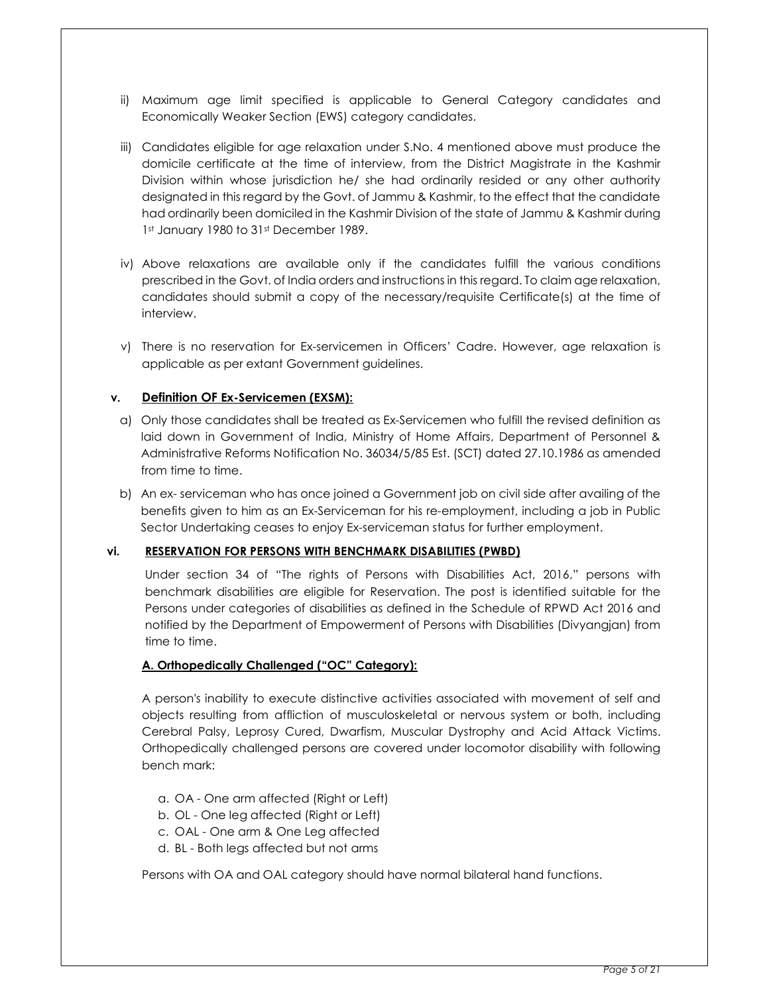- ii) Maximum age limit specified is applicable to General Category candidates and Economically Weaker Section (EWS) category candidates.
- iii) Candidates eligible for age relaxation under S.No. 4 mentioned above must produce the domicile certificate at the time of interview, from the District Magistrate in the Kashmir Division within whose jurisdiction he/ she had ordinarily resided or any other authority designated in this regard by the Govt. of Jammu & Kashmir, to the effect that the candidate had ordinarily been domiciled in the Kashmir Division of the state of Jammu & Kashmir during 1st January 1980 to 31st December 1989.
- iv) Above relaxations are available only if the candidates fulfill the various conditions prescribed in the Govt. of India orders and instructions in this regard. To claim age relaxation, candidates should submit a copy of the necessary/requisite Certificate(s) at the time of interview.
- v) There is no reservation for Ex-servicemen in Officers' Cadre. However, age relaxation is applicable as per extant Government guidelines.

## v. Definition OF Ex-Servicemen (EXSM):

- a) Only those candidates shall be treated as Ex-Servicemen who fulfill the revised definition as laid down in Government of India, Ministry of Home Affairs, Department of Personnel & Administrative Reforms Notification No. 36034/5/85 Est. (SCT) dated 27.10.1986 as amended from time to time.
- b) An ex- serviceman who has once joined a Government job on civil side after availing of the benefits given to him as an Ex-Serviceman for his re-employment, including a job in Public Sector Undertaking ceases to enjoy Ex-serviceman status for further employment.

## vi. RESERVATION FOR PERSONS WITH BENCHMARK DISABILITIES (PWBD)

Under section 34 of "The rights of Persons with Disabilities Act, 2016," persons with benchmark disabilities are eligible for Reservation. The post is identified suitable for the Persons under categories of disabilities as defined in the Schedule of RPWD Act 2016 and notified by the Department of Empowerment of Persons with Disabilities (Divyangjan) from time to time.

## A. Orthopedically Challenged ("OC" Category):

A person's inability to execute distinctive activities associated with movement of self and objects resulting from affliction of musculoskeletal or nervous system or both, including Cerebral Palsy, Leprosy Cured, Dwarfism, Muscular Dystrophy and Acid Attack Victims. Orthopedically challenged persons are covered under locomotor disability with following bench mark:

- a. OA One arm affected (Right or Left)
- b. OL One leg affected (Right or Left)
- c. OAL One arm & One Leg affected
- d. BL Both legs affected but not arms

Persons with OA and OAL category should have normal bilateral hand functions.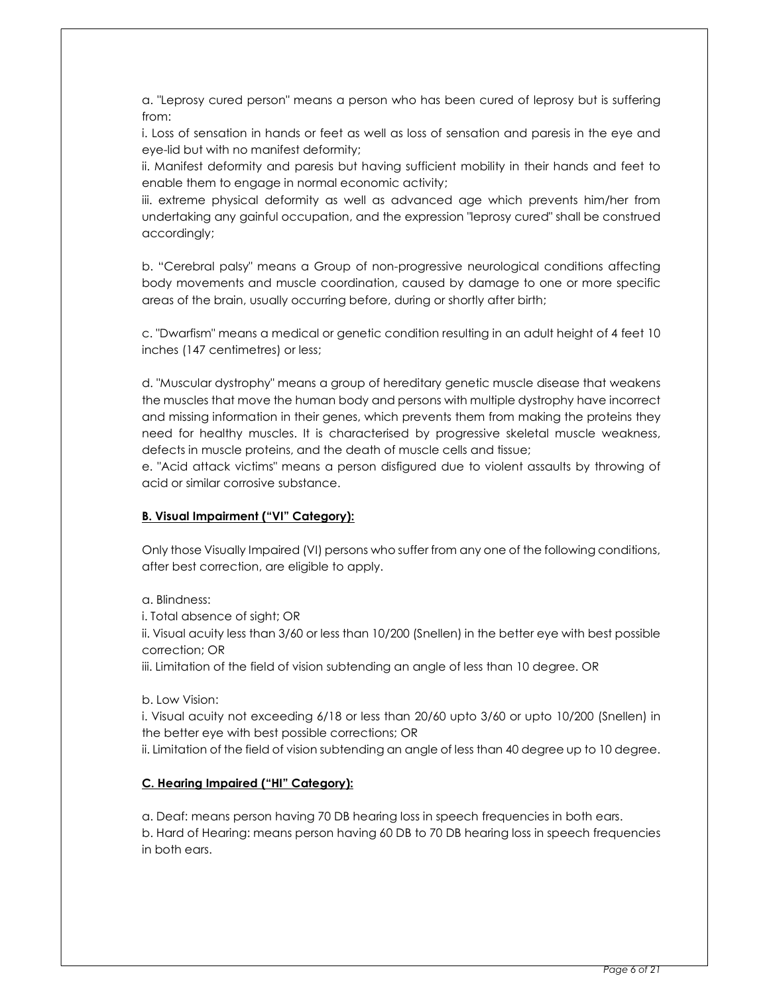a. "Leprosy cured person" means a person who has been cured of leprosy but is suffering from:

i. Loss of sensation in hands or feet as well as loss of sensation and paresis in the eye and eye-lid but with no manifest deformity;

ii. Manifest deformity and paresis but having sufficient mobility in their hands and feet to enable them to engage in normal economic activity;

iii. extreme physical deformity as well as advanced age which prevents him/her from undertaking any gainful occupation, and the expression "leprosy cured" shall be construed accordingly;

b. "Cerebral palsy" means a Group of non-progressive neurological conditions affecting body movements and muscle coordination, caused by damage to one or more specific areas of the brain, usually occurring before, during or shortly after birth;

c. "Dwarfism" means a medical or genetic condition resulting in an adult height of 4 feet 10 inches (147 centimetres) or less;

d. "Muscular dystrophy" means a group of hereditary genetic muscle disease that weakens the muscles that move the human body and persons with multiple dystrophy have incorrect and missing information in their genes, which prevents them from making the proteins they need for healthy muscles. It is characterised by progressive skeletal muscle weakness, defects in muscle proteins, and the death of muscle cells and tissue;

e. "Acid attack victims" means a person disfigured due to violent assaults by throwing of acid or similar corrosive substance.

## B. Visual Impairment ("VI" Category):

Only those Visually Impaired (VI) persons who suffer from any one of the following conditions, after best correction, are eligible to apply.

a. Blindness:

i. Total absence of sight; OR

ii. Visual acuity less than 3/60 or less than 10/200 (Snellen) in the better eye with best possible correction; OR

iii. Limitation of the field of vision subtending an angle of less than 10 degree. OR

b. Low Vision:

i. Visual acuity not exceeding 6/18 or less than 20/60 upto 3/60 or upto 10/200 (Snellen) in the better eye with best possible corrections; OR

ii. Limitation of the field of vision subtending an angle of less than 40 degree up to 10 degree.

## C. Hearing Impaired ("HI" Category):

a. Deaf: means person having 70 DB hearing loss in speech frequencies in both ears. b. Hard of Hearing: means person having 60 DB to 70 DB hearing loss in speech frequencies in both ears.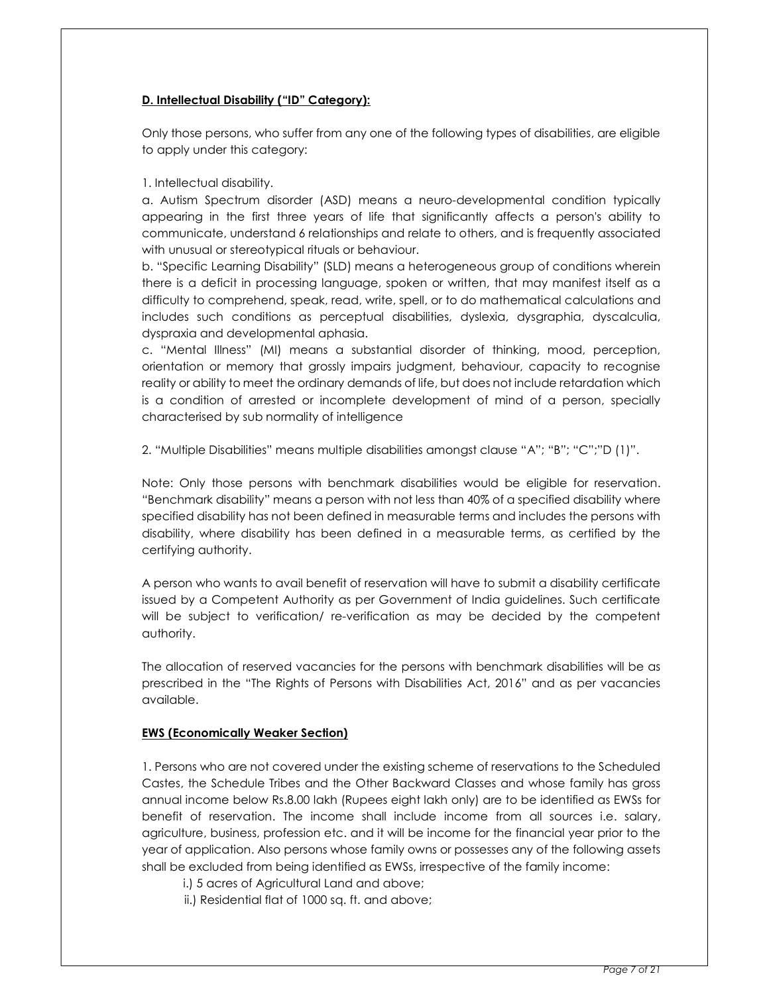## D. Intellectual Disability ("ID" Category):

Only those persons, who suffer from any one of the following types of disabilities, are eligible to apply under this category:

## 1. Intellectual disability.

a. Autism Spectrum disorder (ASD) means a neuro-developmental condition typically appearing in the first three years of life that significantly affects a person's ability to communicate, understand 6 relationships and relate to others, and is frequently associated with unusual or stereotypical rituals or behaviour.

b. "Specific Learning Disability" (SLD) means a heterogeneous group of conditions wherein there is a deficit in processing language, spoken or written, that may manifest itself as a difficulty to comprehend, speak, read, write, spell, or to do mathematical calculations and includes such conditions as perceptual disabilities, dyslexia, dysgraphia, dyscalculia, dyspraxia and developmental aphasia.

c. "Mental Illness" (MI) means a substantial disorder of thinking, mood, perception, orientation or memory that grossly impairs judgment, behaviour, capacity to recognise reality or ability to meet the ordinary demands of life, but does not include retardation which is a condition of arrested or incomplete development of mind of a person, specially characterised by sub normality of intelligence

2. "Multiple Disabilities" means multiple disabilities amongst clause "A"; "B"; "C";"D (1)".

Note: Only those persons with benchmark disabilities would be eligible for reservation. "Benchmark disability" means a person with not less than 40% of a specified disability where specified disability has not been defined in measurable terms and includes the persons with disability, where disability has been defined in a measurable terms, as certified by the certifying authority.

A person who wants to avail benefit of reservation will have to submit a disability certificate issued by a Competent Authority as per Government of India guidelines. Such certificate will be subject to verification/ re-verification as may be decided by the competent authority.

The allocation of reserved vacancies for the persons with benchmark disabilities will be as prescribed in the "The Rights of Persons with Disabilities Act, 2016" and as per vacancies available.

## EWS (Economically Weaker Section)

1. Persons who are not covered under the existing scheme of reservations to the Scheduled Castes, the Schedule Tribes and the Other Backward Classes and whose family has gross annual income below Rs.8.00 lakh (Rupees eight lakh only) are to be identified as EWSs for benefit of reservation. The income shall include income from all sources i.e. salary, agriculture, business, profession etc. and it will be income for the financial year prior to the year of application. Also persons whose family owns or possesses any of the following assets shall be excluded from being identified as EWSs, irrespective of the family income:

- i.) 5 acres of Agricultural Land and above;
- ii.) Residential flat of 1000 sq. ft. and above;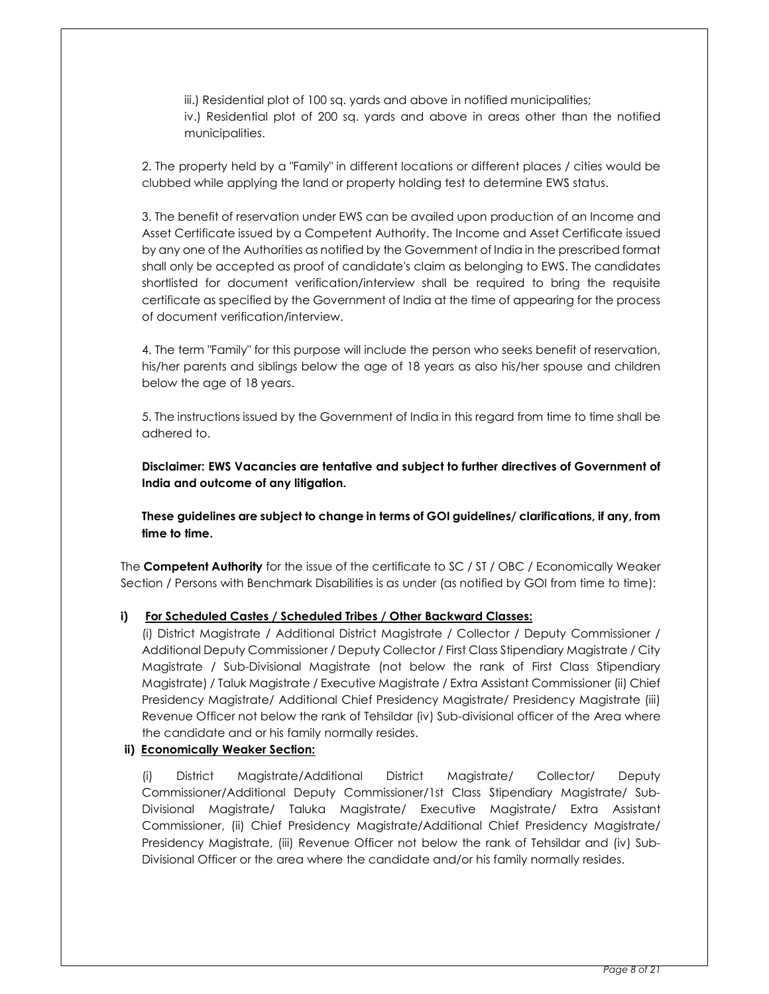iii.) Residential plot of 100 sq. yards and above in notified municipalities; iv.) Residential plot of 200 sq. yards and above in areas other than the notified municipalities.

2. The property held by a "Family" in different locations or different places / cities would be clubbed while applying the land or property holding test to determine EWS status.

3. The benefit of reservation under EWS can be availed upon production of an Income and Asset Certificate issued by a Competent Authority. The Income and Asset Certificate issued by any one of the Authorities as notified by the Government of India in the prescribed format shall only be accepted as proof of candidate's claim as belonging to EWS. The candidates shortlisted for document verification/interview shall be required to bring the requisite certificate as specified by the Government of India at the time of appearing for the process of document verification/interview.

4. The term "Family" for this purpose will include the person who seeks benefit of reservation, his/her parents and siblings below the age of 18 years as also his/her spouse and children below the age of 18 years.

5. The instructions issued by the Government of India in this regard from time to time shall be adhered to.

Disclaimer: EWS Vacancies are tentative and subject to further directives of Government of India and outcome of any litigation.

These guidelines are subject to change in terms of GOI guidelines/ clarifications, if any, from time to time.

The Competent Authority for the issue of the certificate to SC / ST / OBC / Economically Weaker Section / Persons with Benchmark Disabilities is as under (as notified by GOI from time to time):

## i) For Scheduled Castes / Scheduled Tribes / Other Backward Classes:

(i) District Magistrate / Additional District Magistrate / Collector / Deputy Commissioner / Additional Deputy Commissioner / Deputy Collector / First Class Stipendiary Magistrate / City Magistrate / Sub-Divisional Magistrate (not below the rank of First Class Stipendiary Magistrate) / Taluk Magistrate / Executive Magistrate / Extra Assistant Commissioner (ii) Chief Presidency Magistrate/ Additional Chief Presidency Magistrate/ Presidency Magistrate (iii) Revenue Officer not below the rank of Tehsildar (iv) Sub-divisional officer of the Area where the candidate and or his family normally resides.

## ii) Economically Weaker Section:

(i) District Magistrate/Additional District Magistrate/ Collector/ Deputy Commissioner/Additional Deputy Commissioner/1st Class Stipendiary Magistrate/ Sub-Divisional Magistrate/ Taluka Magistrate/ Executive Magistrate/ Extra Assistant Commissioner, (ii) Chief Presidency Magistrate/Additional Chief Presidency Magistrate/ Presidency Magistrate, (iii) Revenue Officer not below the rank of Tehsildar and (iv) Sub-Divisional Officer or the area where the candidate and/or his family normally resides.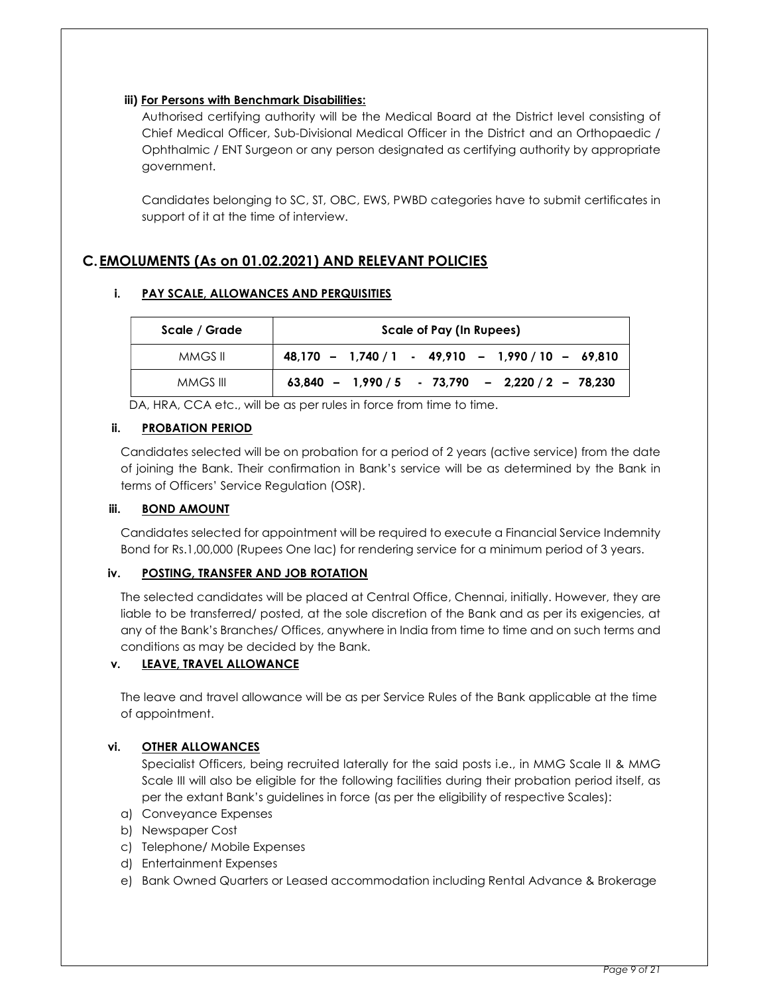## iii) For Persons with Benchmark Disabilities:

Authorised certifying authority will be the Medical Board at the District level consisting of Chief Medical Officer, Sub-Divisional Medical Officer in the District and an Orthopaedic / Ophthalmic / ENT Surgeon or any person designated as certifying authority by appropriate government.

Candidates belonging to SC, ST, OBC, EWS, PWBD categories have to submit certificates in support of it at the time of interview.

# C.EMOLUMENTS (As on 01.02.2021) AND RELEVANT POLICIES

## i. PAY SCALE, ALLOWANCES AND PERQUISITIES

| Scale / Grade | Scale of Pay (In Rupees)                            |
|---------------|-----------------------------------------------------|
| MMGS II       | $48,170 - 1,740 / 1 - 49,910 - 1,990 / 10 - 69,810$ |
| MMGS III      | $63,840 - 1,990 / 5 - 73,790 - 2,220 / 2 - 78,230$  |

DA, HRA, CCA etc., will be as per rules in force from time to time.

## ii. PROBATION PERIOD

Candidates selected will be on probation for a period of 2 years (active service) from the date of joining the Bank. Their confirmation in Bank's service will be as determined by the Bank in terms of Officers' Service Regulation (OSR).

## iii. BOND AMOUNT

Candidates selected for appointment will be required to execute a Financial Service Indemnity Bond for Rs.1,00,000 (Rupees One lac) for rendering service for a minimum period of 3 years.

## iv. POSTING, TRANSFER AND JOB ROTATION

The selected candidates will be placed at Central Office, Chennai, initially. However, they are liable to be transferred/ posted, at the sole discretion of the Bank and as per its exigencies, at any of the Bank's Branches/ Offices, anywhere in India from time to time and on such terms and conditions as may be decided by the Bank.

## v. LEAVE, TRAVEL ALLOWANCE

The leave and travel allowance will be as per Service Rules of the Bank applicable at the time of appointment.

## vi. OTHER ALLOWANCES

Specialist Officers, being recruited laterally for the said posts i.e., in MMG Scale II & MMG Scale III will also be eligible for the following facilities during their probation period itself, as per the extant Bank's guidelines in force (as per the eligibility of respective Scales):

- a) Conveyance Expenses
- b) Newspaper Cost
- c) Telephone/ Mobile Expenses
- d) Entertainment Expenses
- e) Bank Owned Quarters or Leased accommodation including Rental Advance & Brokerage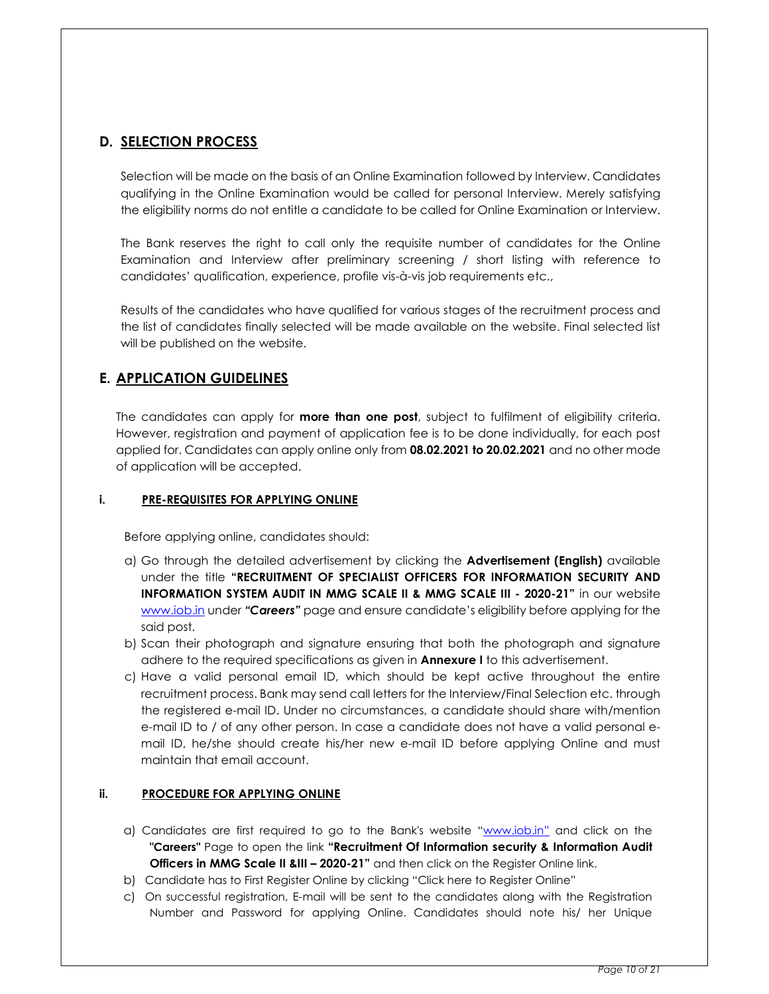# D. SELECTION PROCESS

Selection will be made on the basis of an Online Examination followed by Interview. Candidates qualifying in the Online Examination would be called for personal Interview. Merely satisfying the eligibility norms do not entitle a candidate to be called for Online Examination or Interview.

The Bank reserves the right to call only the requisite number of candidates for the Online Examination and Interview after preliminary screening / short listing with reference to candidates' qualification, experience, profile vis-à-vis job requirements etc.,

Results of the candidates who have qualified for various stages of the recruitment process and the list of candidates finally selected will be made available on the website. Final selected list will be published on the website.

# E. APPLICATION GUIDELINES

The candidates can apply for **more than one post**, subject to fulfilment of eligibility criteria. However, registration and payment of application fee is to be done individually, for each post applied for. Candidates can apply online only from 08.02.2021 to 20.02.2021 and no other mode of application will be accepted.

## i. PRE-REQUISITES FOR APPLYING ONLINE

Before applying online, candidates should:

- a) Go through the detailed advertisement by clicking the Advertisement (English) available under the title "RECRUITMENT OF SPECIALIST OFFICERS FOR INFORMATION SECURITY AND INFORMATION SYSTEM AUDIT IN MMG SCALE II & MMG SCALE III - 2020-21" in our website www.iob.in under "Careers" page and ensure candidate's eligibility before applying for the said post.
- b) Scan their photograph and signature ensuring that both the photograph and signature adhere to the required specifications as given in **Annexure I** to this advertisement.
- c) Have a valid personal email ID, which should be kept active throughout the entire recruitment process. Bank may send call letters for the Interview/Final Selection etc. through the registered e-mail ID. Under no circumstances, a candidate should share with/mention e-mail ID to / of any other person. In case a candidate does not have a valid personal email ID, he/she should create his/her new e-mail ID before applying Online and must maintain that email account.

## ii. PROCEDURE FOR APPLYING ONLINE

- a) Candidates are first required to go to the Bank's website "www.iob.in" and click on the "Careers" Page to open the link "Recruitment Of Information security & Information Audit **Officers in MMG Scale II &III – 2020-21"** and then click on the Register Online link.
- b) Candidate has to First Register Online by clicking "Click here to Register Online"
- c) On successful registration, E-mail will be sent to the candidates along with the Registration Number and Password for applying Online. Candidates should note his/ her Unique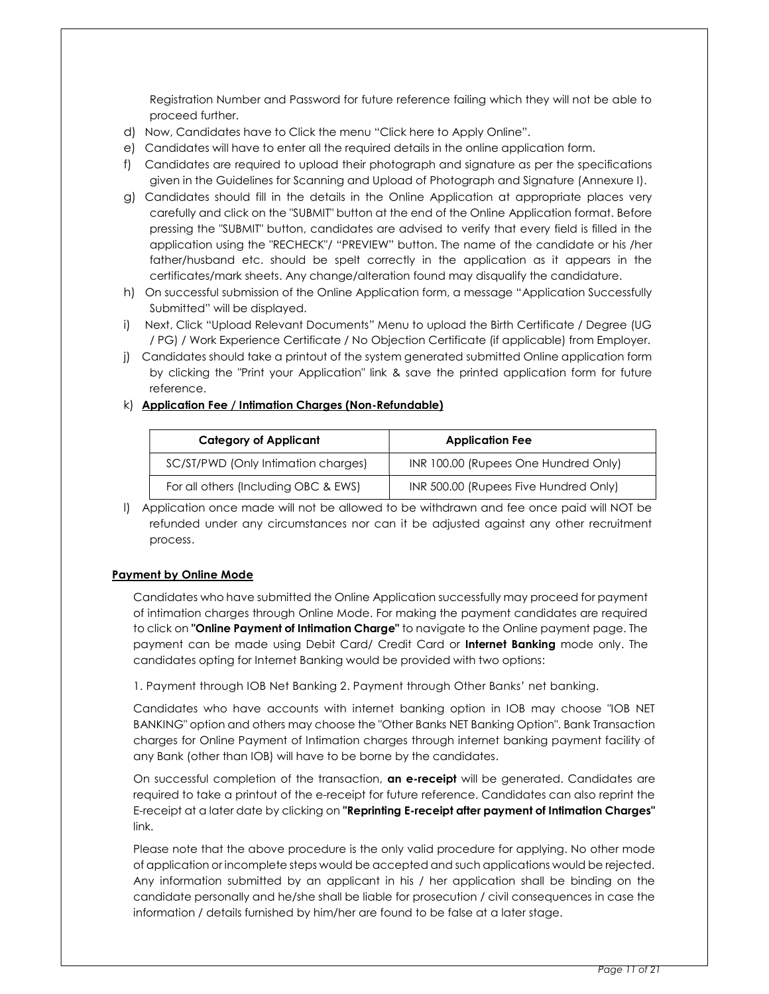Registration Number and Password for future reference failing which they will not be able to proceed further.

- d) Now, Candidates have to Click the menu "Click here to Apply Online".
- e) Candidates will have to enter all the required details in the online application form.
- f) Candidates are required to upload their photograph and signature as per the specifications given in the Guidelines for Scanning and Upload of Photograph and Signature (Annexure I).
- g) Candidates should fill in the details in the Online Application at appropriate places very carefully and click on the "SUBMIT" button at the end of the Online Application format. Before pressing the "SUBMIT" button, candidates are advised to verify that every field is filled in the application using the "RECHECK"/ "PREVIEW" button. The name of the candidate or his /her father/husband etc. should be spelt correctly in the application as it appears in the certificates/mark sheets. Any change/alteration found may disqualify the candidature.
- h) On successful submission of the Online Application form, a message "Application Successfully Submitted" will be displayed.
- i) Next, Click "Upload Relevant Documents" Menu to upload the Birth Certificate / Degree (UG / PG) / Work Experience Certificate / No Objection Certificate (if applicable) from Employer.
- j) Candidates should take a printout of the system generated submitted Online application form by clicking the "Print your Application" link & save the printed application form for future reference.

|  | k) Application Fee / Intimation Charges (Non-Refundable) |  |
|--|----------------------------------------------------------|--|
|  |                                                          |  |

| <b>Category of Applicant</b>         | <b>Application Fee</b>                |
|--------------------------------------|---------------------------------------|
| SC/ST/PWD (Only Intimation charges)  | INR 100.00 (Rupees One Hundred Only)  |
| For all others (Including OBC & EWS) | INR 500.00 (Rupees Five Hundred Only) |

l) Application once made will not be allowed to be withdrawn and fee once paid will NOT be refunded under any circumstances nor can it be adjusted against any other recruitment process.

#### Payment by Online Mode

Candidates who have submitted the Online Application successfully may proceed for payment of intimation charges through Online Mode. For making the payment candidates are required to click on "Online Payment of Intimation Charge" to navigate to the Online payment page. The payment can be made using Debit Card/ Credit Card or **Internet Banking** mode only. The candidates opting for Internet Banking would be provided with two options:

1. Payment through IOB Net Banking 2. Payment through Other Banks' net banking.

Candidates who have accounts with internet banking option in IOB may choose "IOB NET BANKING" option and others may choose the "Other Banks NET Banking Option". Bank Transaction charges for Online Payment of Intimation charges through internet banking payment facility of any Bank (other than IOB) will have to be borne by the candidates.

On successful completion of the transaction, an e-receipt will be generated. Candidates are required to take a printout of the e-receipt for future reference. Candidates can also reprint the E-receipt at a later date by clicking on "Reprinting E-receipt after payment of Intimation Charges" link.

Please note that the above procedure is the only valid procedure for applying. No other mode of application or incomplete steps would be accepted and such applications would be rejected. Any information submitted by an applicant in his / her application shall be binding on the candidate personally and he/she shall be liable for prosecution / civil consequences in case the information / details furnished by him/her are found to be false at a later stage.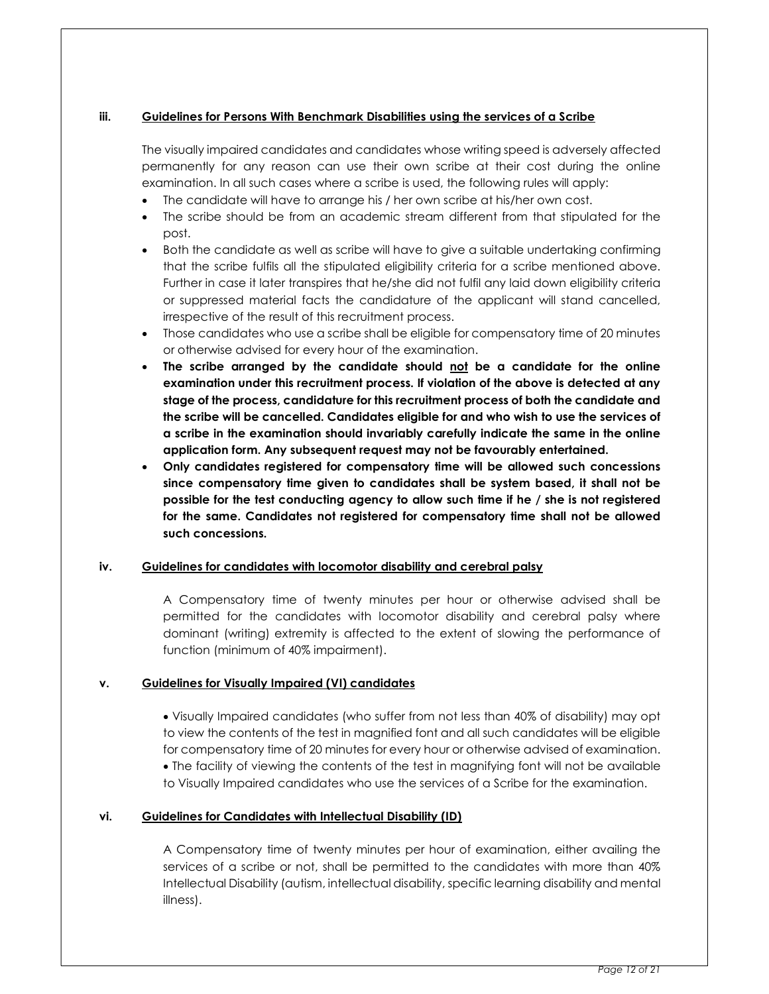## iii. Guidelines for Persons With Benchmark Disabilities using the services of a Scribe

The visually impaired candidates and candidates whose writing speed is adversely affected permanently for any reason can use their own scribe at their cost during the online examination. In all such cases where a scribe is used, the following rules will apply:

- The candidate will have to arrange his / her own scribe at his/her own cost.
- The scribe should be from an academic stream different from that stipulated for the post.
- Both the candidate as well as scribe will have to give a suitable undertaking confirming that the scribe fulfils all the stipulated eligibility criteria for a scribe mentioned above. Further in case it later transpires that he/she did not fulfil any laid down eligibility criteria or suppressed material facts the candidature of the applicant will stand cancelled, irrespective of the result of this recruitment process.
- Those candidates who use a scribe shall be eligible for compensatory time of 20 minutes or otherwise advised for every hour of the examination.
- The scribe arranged by the candidate should not be a candidate for the online examination under this recruitment process. If violation of the above is detected at any stage of the process, candidature for this recruitment process of both the candidate and the scribe will be cancelled. Candidates eligible for and who wish to use the services of a scribe in the examination should invariably carefully indicate the same in the online application form. Any subsequent request may not be favourably entertained.
- Only candidates registered for compensatory time will be allowed such concessions since compensatory time given to candidates shall be system based, it shall not be possible for the test conducting agency to allow such time if he / she is not registered for the same. Candidates not registered for compensatory time shall not be allowed such concessions.

## iv. Guidelines for candidates with locomotor disability and cerebral palsy

A Compensatory time of twenty minutes per hour or otherwise advised shall be permitted for the candidates with locomotor disability and cerebral palsy where dominant (writing) extremity is affected to the extent of slowing the performance of function (minimum of 40% impairment).

## v. Guidelines for Visually Impaired (VI) candidates

 Visually Impaired candidates (who suffer from not less than 40% of disability) may opt to view the contents of the test in magnified font and all such candidates will be eligible for compensatory time of 20 minutes for every hour or otherwise advised of examination. The facility of viewing the contents of the test in magnifying font will not be available to Visually Impaired candidates who use the services of a Scribe for the examination.

## vi. Guidelines for Candidates with Intellectual Disability (ID)

A Compensatory time of twenty minutes per hour of examination, either availing the services of a scribe or not, shall be permitted to the candidates with more than 40% Intellectual Disability (autism, intellectual disability, specific learning disability and mental illness).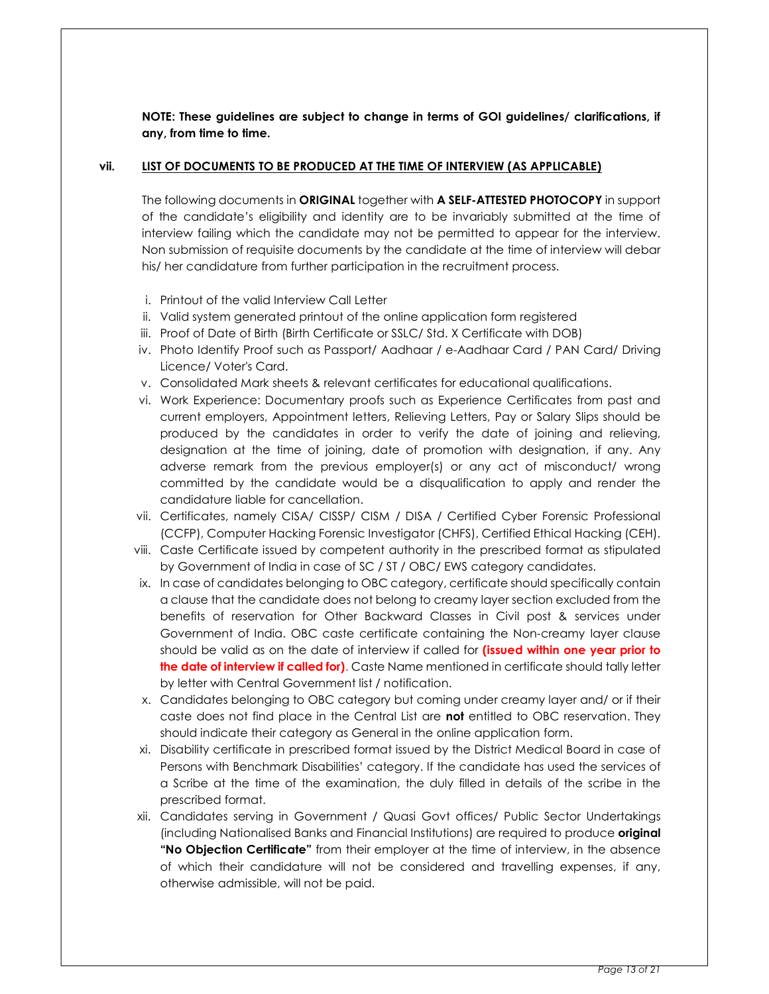NOTE: These guidelines are subject to change in terms of GOI guidelines/ clarifications, if any, from time to time.

#### vii. LIST OF DOCUMENTS TO BE PRODUCED AT THE TIME OF INTERVIEW (AS APPLICABLE)

The following documents in ORIGINAL together with A SELF-ATTESTED PHOTOCOPY in support of the candidate's eligibility and identity are to be invariably submitted at the time of interview failing which the candidate may not be permitted to appear for the interview. Non submission of requisite documents by the candidate at the time of interview will debar his/ her candidature from further participation in the recruitment process.

- i. Printout of the valid Interview Call Letter
- ii. Valid system generated printout of the online application form registered
- iii. Proof of Date of Birth (Birth Certificate or SSLC/ Std. X Certificate with DOB)
- iv. Photo Identify Proof such as Passport/ Aadhaar / e-Aadhaar Card / PAN Card/ Driving Licence/ Voter's Card.
- v. Consolidated Mark sheets & relevant certificates for educational qualifications.
- vi. Work Experience: Documentary proofs such as Experience Certificates from past and current employers, Appointment letters, Relieving Letters, Pay or Salary Slips should be produced by the candidates in order to verify the date of joining and relieving, designation at the time of joining, date of promotion with designation, if any. Any adverse remark from the previous employer(s) or any act of misconduct/ wrong committed by the candidate would be a disqualification to apply and render the candidature liable for cancellation.
- vii. Certificates, namely CISA/ CISSP/ CISM / DISA / Certified Cyber Forensic Professional (CCFP), Computer Hacking Forensic Investigator (CHFS), Certified Ethical Hacking (CEH).
- viii. Caste Certificate issued by competent authority in the prescribed format as stipulated by Government of India in case of SC / ST / OBC/ EWS category candidates.
- ix. In case of candidates belonging to OBC category, certificate should specifically contain a clause that the candidate does not belong to creamy layer section excluded from the benefits of reservation for Other Backward Classes in Civil post & services under Government of India. OBC caste certificate containing the Non-creamy layer clause should be valid as on the date of interview if called for *(issued within one year prior to* the date of interview if called for). Caste Name mentioned in certificate should tally letter by letter with Central Government list / notification.
- x. Candidates belonging to OBC category but coming under creamy layer and/ or if their caste does not find place in the Central List are not entitled to OBC reservation. They should indicate their category as General in the online application form.
- xi. Disability certificate in prescribed format issued by the District Medical Board in case of Persons with Benchmark Disabilities' category. If the candidate has used the services of a Scribe at the time of the examination, the duly filled in details of the scribe in the prescribed format.
- xii. Candidates serving in Government / Quasi Govt offices/ Public Sector Undertakings (including Nationalised Banks and Financial Institutions) are required to produce *original* "No Objection Certificate" from their employer at the time of interview, in the absence of which their candidature will not be considered and travelling expenses, if any, otherwise admissible, will not be paid.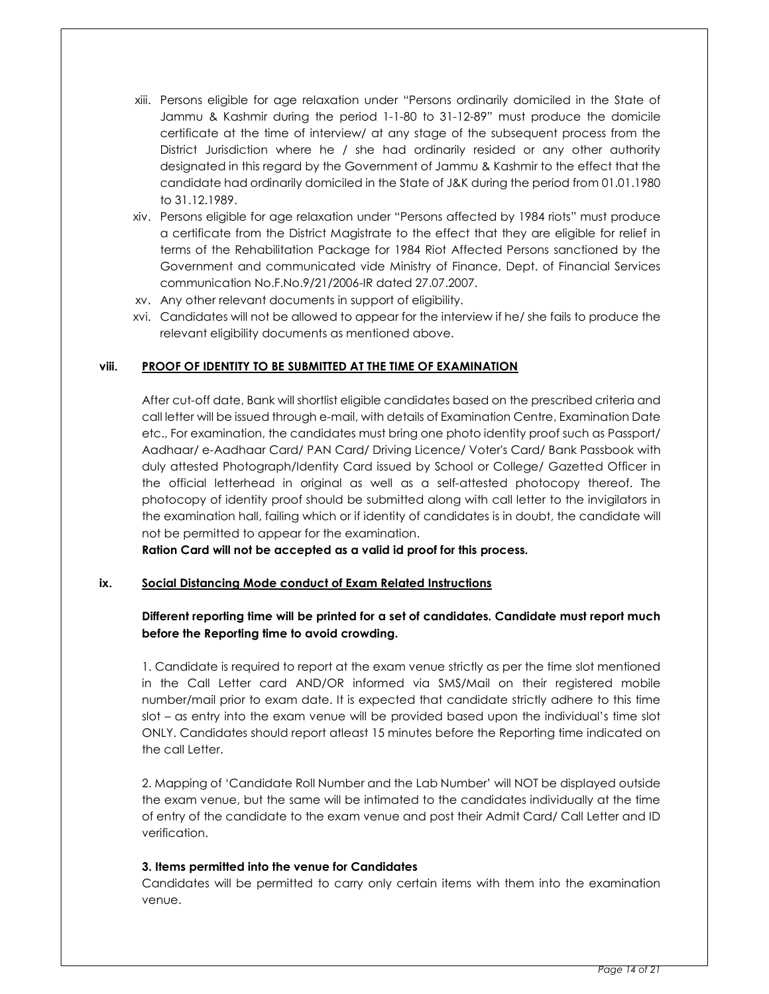- xiii. Persons eligible for age relaxation under "Persons ordinarily domiciled in the State of Jammu & Kashmir during the period 1-1-80 to 31-12-89" must produce the domicile certificate at the time of interview/ at any stage of the subsequent process from the District Jurisdiction where he / she had ordinarily resided or any other authority designated in this regard by the Government of Jammu & Kashmir to the effect that the candidate had ordinarily domiciled in the State of J&K during the period from 01.01.1980 to 31.12.1989.
- xiv. Persons eligible for age relaxation under "Persons affected by 1984 riots" must produce a certificate from the District Magistrate to the effect that they are eligible for relief in terms of the Rehabilitation Package for 1984 Riot Affected Persons sanctioned by the Government and communicated vide Ministry of Finance, Dept. of Financial Services communication No.F.No.9/21/2006-IR dated 27.07.2007.
- xv. Any other relevant documents in support of eligibility.
- xvi. Candidates will not be allowed to appear for the interview if he/ she fails to produce the relevant eligibility documents as mentioned above.

## viii. PROOF OF IDENTITY TO BE SUBMITTED AT THE TIME OF EXAMINATION

After cut-off date, Bank will shortlist eligible candidates based on the prescribed criteria and call letter will be issued through e-mail, with details of Examination Centre, Examination Date etc., For examination, the candidates must bring one photo identity proof such as Passport/ Aadhaar/ e-Aadhaar Card/ PAN Card/ Driving Licence/ Voter's Card/ Bank Passbook with duly attested Photograph/Identity Card issued by School or College/ Gazetted Officer in the official letterhead in original as well as a self-attested photocopy thereof. The photocopy of identity proof should be submitted along with call letter to the invigilators in the examination hall, failing which or if identity of candidates is in doubt, the candidate will not be permitted to appear for the examination.

Ration Card will not be accepted as a valid id proof for this process.

## ix. Social Distancing Mode conduct of Exam Related Instructions

## Different reporting time will be printed for a set of candidates. Candidate must report much before the Reporting time to avoid crowding.

1. Candidate is required to report at the exam venue strictly as per the time slot mentioned in the Call Letter card AND/OR informed via SMS/Mail on their registered mobile number/mail prior to exam date. It is expected that candidate strictly adhere to this time slot – as entry into the exam venue will be provided based upon the individual's time slot ONLY. Candidates should report atleast 15 minutes before the Reporting time indicated on the call Letter.

2. Mapping of 'Candidate Roll Number and the Lab Number' will NOT be displayed outside the exam venue, but the same will be intimated to the candidates individually at the time of entry of the candidate to the exam venue and post their Admit Card/ Call Letter and ID verification.

## 3. Items permitted into the venue for Candidates

Candidates will be permitted to carry only certain items with them into the examination venue.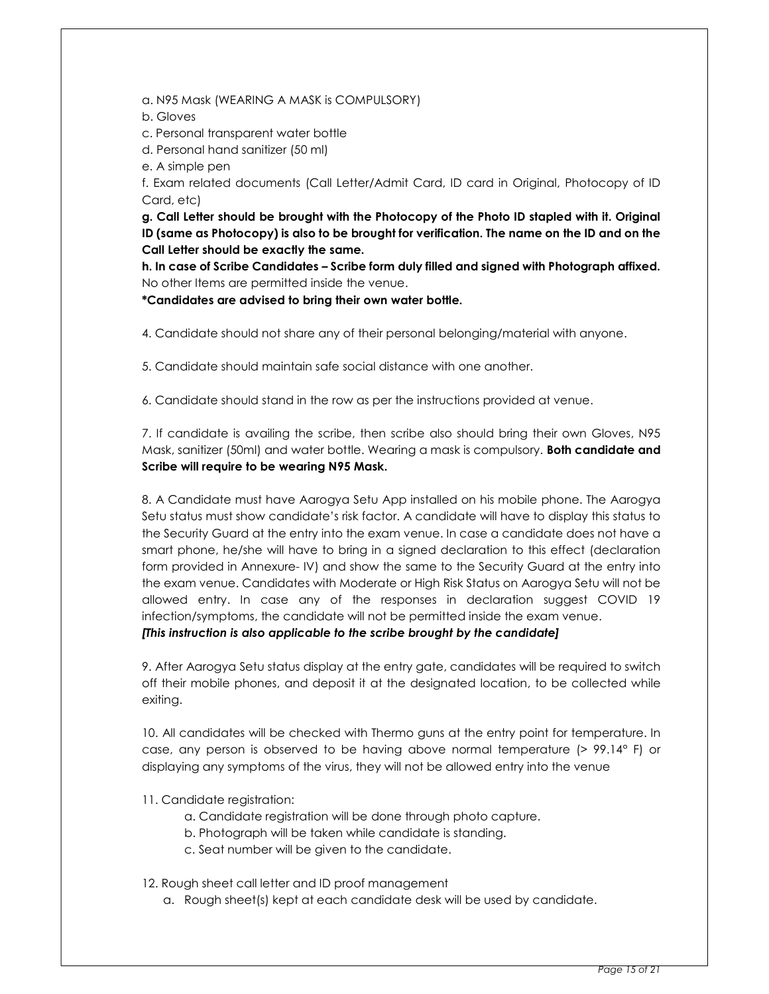a. N95 Mask (WEARING A MASK is COMPULSORY)

b. Gloves

c. Personal transparent water bottle

d. Personal hand sanitizer (50 ml)

e. A simple pen

f. Exam related documents (Call Letter/Admit Card, ID card in Original, Photocopy of ID Card, etc)

g. Call Letter should be brought with the Photocopy of the Photo ID stapled with it. Original ID (same as Photocopy) is also to be brought for verification. The name on the ID and on the Call Letter should be exactly the same.

h. In case of Scribe Candidates – Scribe form duly filled and signed with Photograph affixed. No other Items are permitted inside the venue.

\*Candidates are advised to bring their own water bottle.

4. Candidate should not share any of their personal belonging/material with anyone.

5. Candidate should maintain safe social distance with one another.

6. Candidate should stand in the row as per the instructions provided at venue.

7. If candidate is availing the scribe, then scribe also should bring their own Gloves, N95 Mask, sanitizer (50ml) and water bottle. Wearing a mask is compulsory. Both candidate and Scribe will require to be wearing N95 Mask.

8. A Candidate must have Aarogya Setu App installed on his mobile phone. The Aarogya Setu status must show candidate's risk factor. A candidate will have to display this status to the Security Guard at the entry into the exam venue. In case a candidate does not have a smart phone, he/she will have to bring in a signed declaration to this effect (declaration form provided in Annexure- IV) and show the same to the Security Guard at the entry into the exam venue. Candidates with Moderate or High Risk Status on Aarogya Setu will not be allowed entry. In case any of the responses in declaration suggest COVID 19 infection/symptoms, the candidate will not be permitted inside the exam venue. [This instruction is also applicable to the scribe brought by the candidate]

9. After Aarogya Setu status display at the entry gate, candidates will be required to switch off their mobile phones, and deposit it at the designated location, to be collected while exiting.

10. All candidates will be checked with Thermo guns at the entry point for temperature. In case, any person is observed to be having above normal temperature (> 99.14° F) or displaying any symptoms of the virus, they will not be allowed entry into the venue

11. Candidate registration:

a. Candidate registration will be done through photo capture.

b. Photograph will be taken while candidate is standing.

c. Seat number will be given to the candidate.

12. Rough sheet call letter and ID proof management

a. Rough sheet(s) kept at each candidate desk will be used by candidate.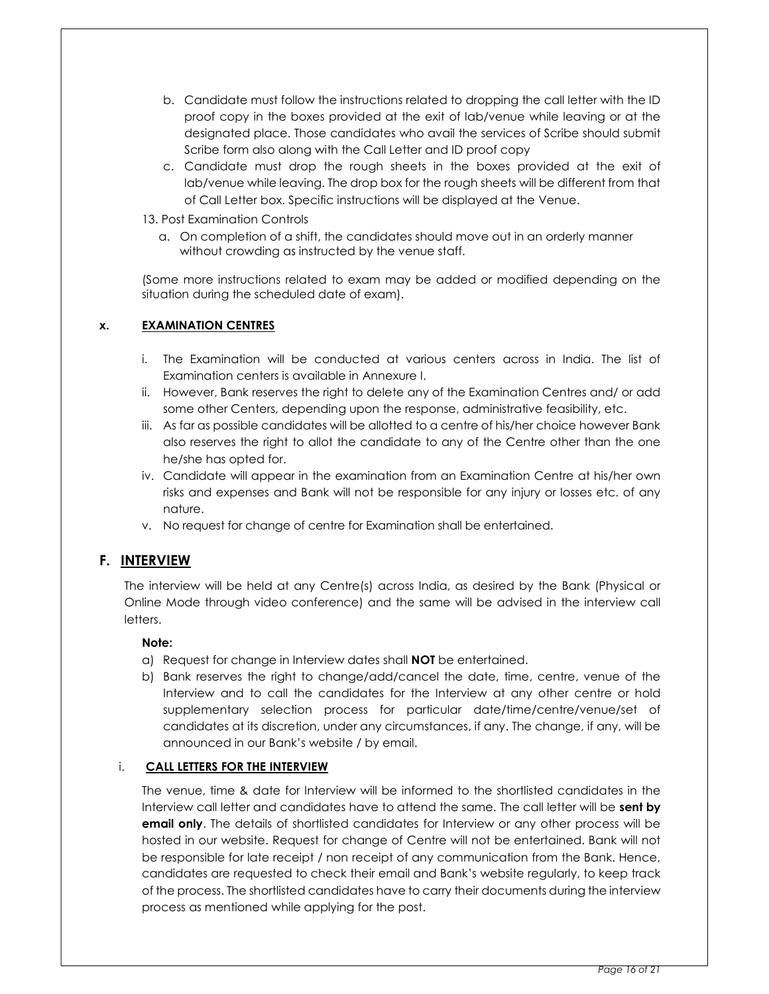- b. Candidate must follow the instructions related to dropping the call letter with the ID proof copy in the boxes provided at the exit of lab/venue while leaving or at the designated place. Those candidates who avail the services of Scribe should submit Scribe form also along with the Call Letter and ID proof copy
- c. Candidate must drop the rough sheets in the boxes provided at the exit of lab/venue while leaving. The drop box for the rough sheets will be different from that of Call Letter box. Specific instructions will be displayed at the Venue.
- 13. Post Examination Controls
	- a. On completion of a shift, the candidates should move out in an orderly manner without crowding as instructed by the venue staff.

(Some more instructions related to exam may be added or modified depending on the situation during the scheduled date of exam).

## x. EXAMINATION CENTRES

- i. The Examination will be conducted at various centers across in India. The list of Examination centers is available in Annexure I.
- ii. However, Bank reserves the right to delete any of the Examination Centres and/ or add some other Centers, depending upon the response, administrative feasibility, etc.
- iii. As far as possible candidates will be allotted to a centre of his/her choice however Bank also reserves the right to allot the candidate to any of the Centre other than the one he/she has opted for.
- iv. Candidate will appear in the examination from an Examination Centre at his/her own risks and expenses and Bank will not be responsible for any injury or losses etc. of any nature.
- v. No request for change of centre for Examination shall be entertained.

## F. INTERVIEW

The interview will be held at any Centre(s) across India, as desired by the Bank (Physical or Online Mode through video conference) and the same will be advised in the interview call letters.

## Note:

- a) Request for change in Interview dates shall NOT be entertained.
- b) Bank reserves the right to change/add/cancel the date, time, centre, venue of the Interview and to call the candidates for the Interview at any other centre or hold supplementary selection process for particular date/time/centre/venue/set of candidates at its discretion, under any circumstances, if any. The change, if any, will be announced in our Bank's website / by email.

## i. CALL LETTERS FOR THE INTERVIEW

The venue, time & date for Interview will be informed to the shortlisted candidates in the Interview call letter and candidates have to attend the same. The call letter will be sent by **email only**. The details of shortlisted candidates for Interview or any other process will be hosted in our website. Request for change of Centre will not be entertained. Bank will not be responsible for late receipt / non receipt of any communication from the Bank. Hence, candidates are requested to check their email and Bank's website regularly, to keep track of the process. The shortlisted candidates have to carry their documents during the interview process as mentioned while applying for the post.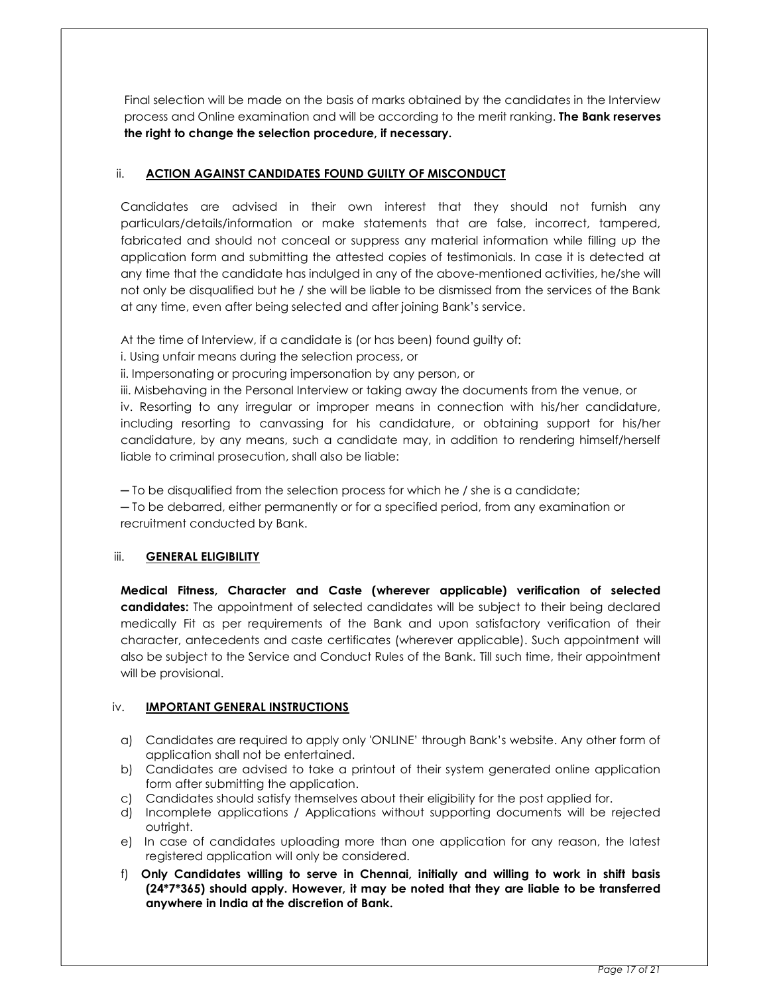Final selection will be made on the basis of marks obtained by the candidates in the Interview process and Online examination and will be according to the merit ranking. The Bank reserves the right to change the selection procedure, if necessary.

## ii. ACTION AGAINST CANDIDATES FOUND GUILTY OF MISCONDUCT

Candidates are advised in their own interest that they should not furnish any particulars/details/information or make statements that are false, incorrect, tampered, fabricated and should not conceal or suppress any material information while filling up the application form and submitting the attested copies of testimonials. In case it is detected at any time that the candidate has indulged in any of the above-mentioned activities, he/she will not only be disqualified but he / she will be liable to be dismissed from the services of the Bank at any time, even after being selected and after joining Bank's service.

At the time of Interview, if a candidate is (or has been) found guilty of:

- i. Using unfair means during the selection process, or
- ii. Impersonating or procuring impersonation by any person, or

iii. Misbehaving in the Personal Interview or taking away the documents from the venue, or iv. Resorting to any irregular or improper means in connection with his/her candidature, including resorting to canvassing for his candidature, or obtaining support for his/her candidature, by any means, such a candidate may, in addition to rendering himself/herself liable to criminal prosecution, shall also be liable:

─ To be disqualified from the selection process for which he / she is a candidate;

─ To be debarred, either permanently or for a specified period, from any examination or recruitment conducted by Bank.

## iii. GENERAL ELIGIBILITY

Medical Fitness, Character and Caste (wherever applicable) verification of selected candidates: The appointment of selected candidates will be subject to their being declared medically Fit as per requirements of the Bank and upon satisfactory verification of their character, antecedents and caste certificates (wherever applicable). Such appointment will also be subject to the Service and Conduct Rules of the Bank. Till such time, their appointment will be provisional.

## iv. **IMPORTANT GENERAL INSTRUCTIONS**

- a) Candidates are required to apply only 'ONLINE' through Bank's website. Any other form of application shall not be entertained.
- b) Candidates are advised to take a printout of their system generated online application form after submitting the application.
- c) Candidates should satisfy themselves about their eligibility for the post applied for.
- d) Incomplete applications / Applications without supporting documents will be rejected outright.
- e) In case of candidates uploading more than one application for any reason, the latest registered application will only be considered.
- f) Only Candidates willing to serve in Chennai, initially and willing to work in shift basis (24\*7\*365) should apply. However, it may be noted that they are liable to be transferred anywhere in India at the discretion of Bank.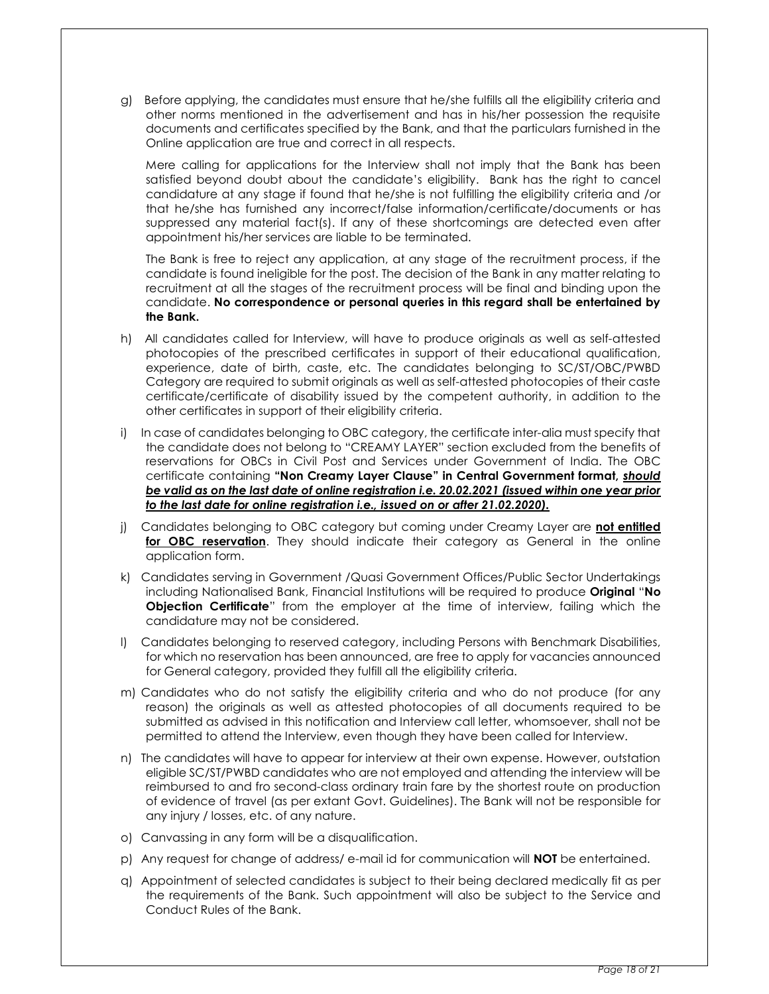g) Before applying, the candidates must ensure that he/she fulfills all the eligibility criteria and other norms mentioned in the advertisement and has in his/her possession the requisite documents and certificates specified by the Bank, and that the particulars furnished in the Online application are true and correct in all respects.

 Mere calling for applications for the Interview shall not imply that the Bank has been satisfied beyond doubt about the candidate's eligibility. Bank has the right to cancel candidature at any stage if found that he/she is not fulfilling the eligibility criteria and /or that he/she has furnished any incorrect/false information/certificate/documents or has suppressed any material fact(s). If any of these shortcomings are detected even after appointment his/her services are liable to be terminated.

 The Bank is free to reject any application, at any stage of the recruitment process, if the candidate is found ineligible for the post. The decision of the Bank in any matter relating to recruitment at all the stages of the recruitment process will be final and binding upon the candidate. No correspondence or personal queries in this regard shall be entertained by the Bank.

- h) All candidates called for Interview, will have to produce originals as well as self-attested photocopies of the prescribed certificates in support of their educational qualification, experience, date of birth, caste, etc. The candidates belonging to SC/ST/OBC/PWBD Category are required to submit originals as well as self-attested photocopies of their caste certificate/certificate of disability issued by the competent authority, in addition to the other certificates in support of their eligibility criteria.
- i) In case of candidates belonging to OBC category, the certificate inter-alia must specify that the candidate does not belong to "CREAMY LAYER" section excluded from the benefits of reservations for OBCs in Civil Post and Services under Government of India. The OBC certificate containing "Non Creamy Layer Clause" in Central Government format, should be valid as on the last date of online registration i.e. 20.02.2021 (issued within one year prior to the last date for online registration i.e., issued on or after 21.02.2020).
- j) Candidates belonging to OBC category but coming under Creamy Layer are not entitled for OBC reservation. They should indicate their category as General in the online application form.
- k) Candidates serving in Government /Quasi Government Offices/Public Sector Undertakings including Nationalised Bank, Financial Institutions will be required to produce Original "No Objection Certificate" from the employer at the time of interview, failing which the candidature may not be considered.
- l) Candidates belonging to reserved category, including Persons with Benchmark Disabilities, for which no reservation has been announced, are free to apply for vacancies announced for General category, provided they fulfill all the eligibility criteria.
- m) Candidates who do not satisfy the eligibility criteria and who do not produce (for any reason) the originals as well as attested photocopies of all documents required to be submitted as advised in this notification and Interview call letter, whomsoever, shall not be permitted to attend the Interview, even though they have been called for Interview.
- n) The candidates will have to appear for interview at their own expense. However, outstation eligible SC/ST/PWBD candidates who are not employed and attending the interview will be reimbursed to and fro second-class ordinary train fare by the shortest route on production of evidence of travel (as per extant Govt. Guidelines). The Bank will not be responsible for any injury / losses, etc. of any nature.
- o) Canvassing in any form will be a disqualification.
- p) Any request for change of address/ e-mail id for communication will **NOT** be entertained.
- q) Appointment of selected candidates is subject to their being declared medically fit as per the requirements of the Bank. Such appointment will also be subject to the Service and Conduct Rules of the Bank.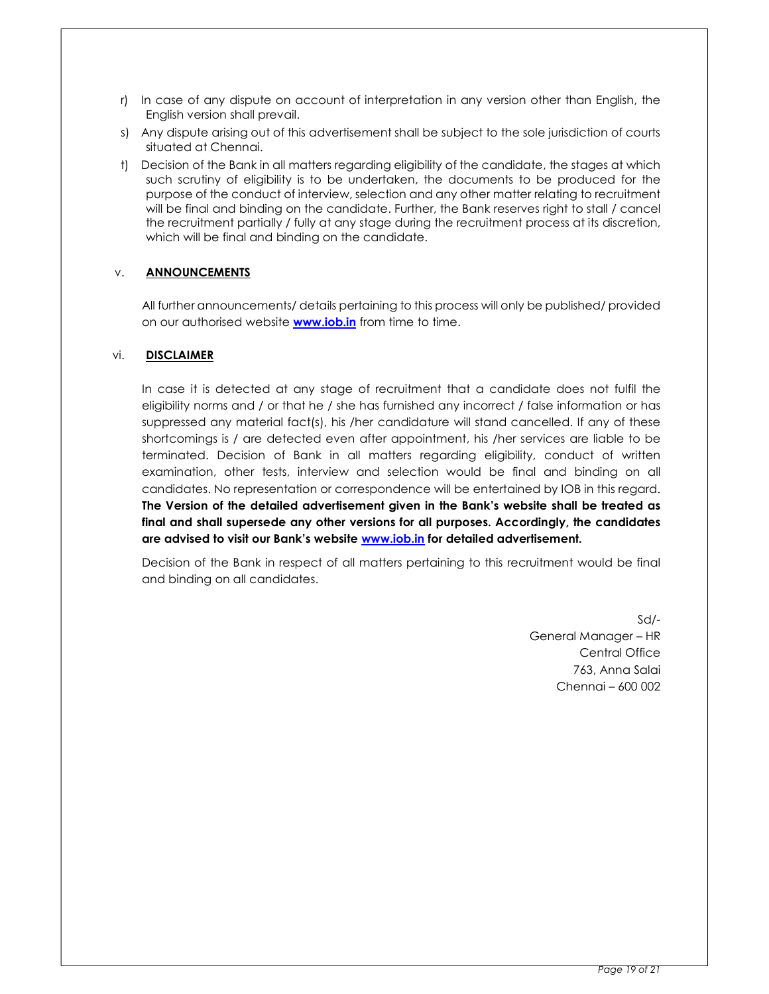- r) In case of any dispute on account of interpretation in any version other than English, the English version shall prevail.
- s) Any dispute arising out of this advertisement shall be subject to the sole jurisdiction of courts situated at Chennai.
- t) Decision of the Bank in all matters regarding eligibility of the candidate, the stages at which such scrutiny of eligibility is to be undertaken, the documents to be produced for the purpose of the conduct of interview, selection and any other matter relating to recruitment will be final and binding on the candidate. Further, the Bank reserves right to stall / cancel the recruitment partially / fully at any stage during the recruitment process at its discretion, which will be final and binding on the candidate.

## v. ANNOUNCEMENTS

All further announcements/ details pertaining to this process will only be published/ provided on our authorised website **www.iob.in** from time to time.

#### vi. DISCLAIMER

In case it is detected at any stage of recruitment that a candidate does not fulfil the eligibility norms and / or that he / she has furnished any incorrect / false information or has suppressed any material fact(s), his /her candidature will stand cancelled. If any of these shortcomings is / are detected even after appointment, his /her services are liable to be terminated. Decision of Bank in all matters regarding eligibility, conduct of written examination, other tests, interview and selection would be final and binding on all candidates. No representation or correspondence will be entertained by IOB in this regard. The Version of the detailed advertisement given in the Bank's website shall be treated as final and shall supersede any other versions for all purposes. Accordingly, the candidates are advised to visit our Bank's website www.iob.in for detailed advertisement.

Decision of the Bank in respect of all matters pertaining to this recruitment would be final and binding on all candidates.

> Sd/- General Manager – HR Central Office 763, Anna Salai Chennai – 600 002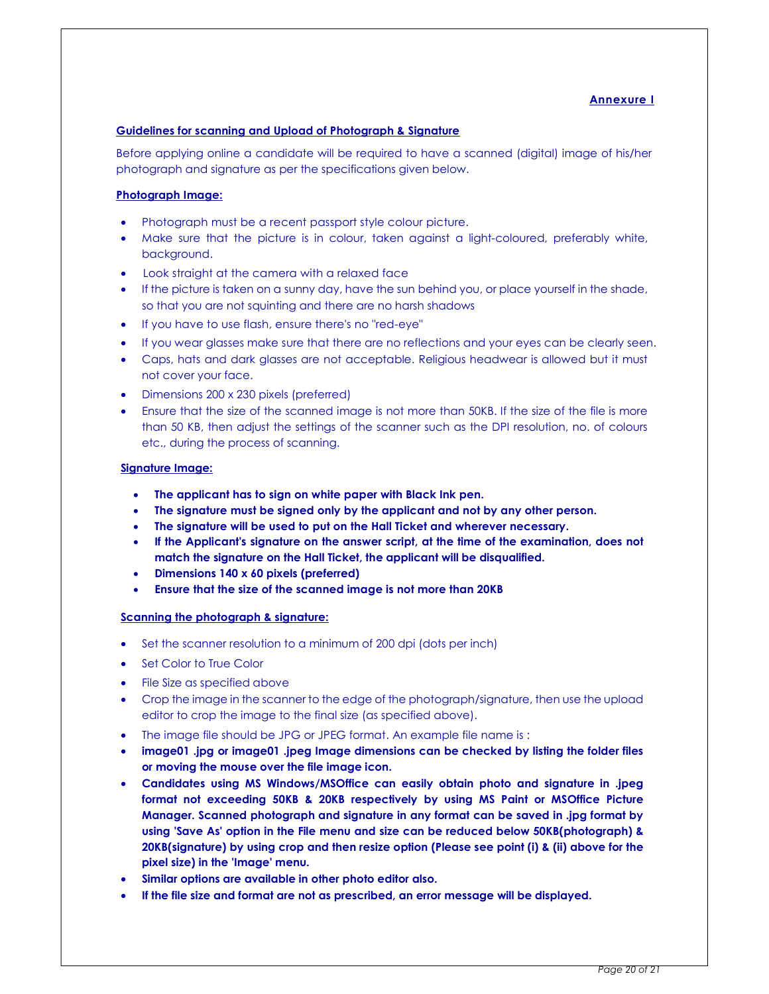## Annexure I

#### Guidelines for scanning and Upload of Photograph & Signature

Before applying online a candidate will be required to have a scanned (digital) image of his/her photograph and signature as per the specifications given below.

#### Photograph Image:

- Photograph must be a recent passport style colour picture.
- Make sure that the picture is in colour, taken against a light-coloured, preferably white, background.
- Look straight at the camera with a relaxed face
- If the picture is taken on a sunny day, have the sun behind you, or place yourself in the shade, so that you are not squinting and there are no harsh shadows
- If you have to use flash, ensure there's no "red-eye"
- If you wear glasses make sure that there are no reflections and your eyes can be clearly seen.
- Caps, hats and dark glasses are not acceptable. Religious headwear is allowed but it must not cover your face.
- Dimensions 200 x 230 pixels (preferred)
- Ensure that the size of the scanned image is not more than 50KB. If the size of the file is more than 50 KB, then adjust the settings of the scanner such as the DPI resolution, no. of colours etc., during the process of scanning.

#### Signature Image:

- The applicant has to sign on white paper with Black Ink pen.
- The signature must be signed only by the applicant and not by any other person.
- The signature will be used to put on the Hall Ticket and wherever necessary.
- If the Applicant's signature on the answer script, at the time of the examination, does not match the signature on the Hall Ticket, the applicant will be disqualified.
- Dimensions 140 x 60 pixels (preferred)
- Ensure that the size of the scanned image is not more than 20KB

#### Scanning the photograph & signature:

- Set the scanner resolution to a minimum of 200 dpi (dots per inch)
- **Set Color to True Color**
- File Size as specified above
- Crop the image in the scanner to the edge of the photograph/signature, then use the upload editor to crop the image to the final size (as specified above).
- The image file should be JPG or JPEG format. An example file name is :
- image01 .jpg or image01 .jpeg Image dimensions can be checked by listing the folder files or moving the mouse over the file image icon.
- Candidates using MS Windows/MSOffice can easily obtain photo and signature in .jpeg format not exceeding 50KB & 20KB respectively by using MS Paint or MSOffice Picture Manager. Scanned photograph and signature in any format can be saved in .jpg format by using 'Save As' option in the File menu and size can be reduced below 50KB(photograph) & 20KB(signature) by using crop and then resize option (Please see point (i) & (ii) above for the pixel size) in the 'Image' menu.
- Similar options are available in other photo editor also.
- If the file size and format are not as prescribed, an error message will be displayed.